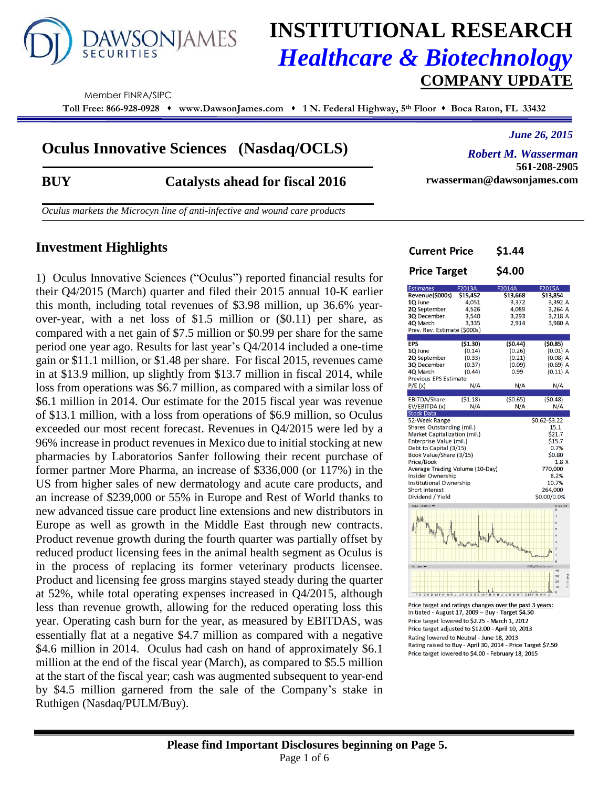

# **INSTITUTIONAL RESEARCH** *Healthcare & Biotechnology* **COMPANY UPDATE**

Current Price

Member FINRA/SIPC

**Toll Free: 866-928-0928 www.DawsonJames.com 1 N. Federal Highway, 5 th Floor Boca Raton, FL 33432**

# **Oculus Innovative Sciences (Nasdaq/OCLS)**

*June 26, 2015*

**561-208-2905**

*Robert M. Wasserman*

**rwasserman@dawsonjames.com**

\$1.44

### **BUY Catalysts ahead for fiscal 2016**

*Oculus markets the Microcyn line of anti-infective and wound care products*

### **Investment Highlights**

1)Oculus Innovative Sciences ("Oculus") reported financial results for their Q4/2015 (March) quarter and filed their 2015 annual 10-K earlier this month, including total revenues of \$3.98 million, up 36.6% yearover-year, with a net loss of \$1.5 million or (\$0.11) per share, as compared with a net gain of \$7.5 million or \$0.99 per share for the same period one year ago. Results for last year's Q4/2014 included a one-time gain or \$11.1 million, or \$1.48 per share. For fiscal 2015, revenues came in at \$13.9 million, up slightly from \$13.7 million in fiscal 2014, while loss from operations was \$6.7 million, as compared with a similar loss of \$6.1 million in 2014. Our estimate for the 2015 fiscal year was revenue of \$13.1 million, with a loss from operations of \$6.9 million, so Oculus exceeded our most recent forecast. Revenues in Q4/2015 were led by a 96% increase in product revenues in Mexico due to initial stocking at new pharmacies by Laboratorios Sanfer following their recent purchase of former partner More Pharma, an increase of \$336,000 (or 117%) in the US from higher sales of new dermatology and acute care products, and an increase of \$239,000 or 55% in Europe and Rest of World thanks to new advanced tissue care product line extensions and new distributors in Europe as well as growth in the Middle East through new contracts. Product revenue growth during the fourth quarter was partially offset by reduced product licensing fees in the animal health segment as Oculus is in the process of replacing its former veterinary products licensee. Product and licensing fee gross margins stayed steady during the quarter at 52%, while total operating expenses increased in Q4/2015, although less than revenue growth, allowing for the reduced operating loss this year. Operating cash burn for the year, as measured by EBITDAS, was essentially flat at a negative \$4.7 million as compared with a negative \$4.6 million in 2014. Oculus had cash on hand of approximately \$6.1 million at the end of the fiscal year (March), as compared to \$5.5 million at the start of the fiscal year; cash was augmented subsequent to year-end by \$4.5 million garnered from the sale of the Company's stake in Ruthigen (Nasdaq/PULM/Buy).

| \$4.00<br>F2014A<br>\$13,668<br>3,372<br>4,089<br>3,293<br>2,914<br>(\$0.44)<br>(0.26)<br>(0.21)<br>(0.09)<br>0.99<br>N/A<br>(50.65)<br>N/A | F2015A<br>\$13,854<br>3,392 A<br>3,264 A<br>3,218 A<br>3,980 A<br>(50.85)<br>$(0.01)$ A<br>$(0.08)$ A<br>$(0.69)$ A<br>$(0.11)$ A<br>N/A<br>(50.48)<br>N/A<br>\$0.62-\$3.22<br>15.1 |
|---------------------------------------------------------------------------------------------------------------------------------------------|-------------------------------------------------------------------------------------------------------------------------------------------------------------------------------------|
|                                                                                                                                             |                                                                                                                                                                                     |
|                                                                                                                                             |                                                                                                                                                                                     |
|                                                                                                                                             |                                                                                                                                                                                     |
|                                                                                                                                             |                                                                                                                                                                                     |
|                                                                                                                                             | \$21.7<br>\$15.7<br>0.7%<br>\$0.80<br>1.8X<br>770,000<br>8.2%<br>10.7%<br>264,000<br>\$0.00/0.0%                                                                                    |
| BigCharts                                                                                                                                   | 6/21/15<br>7<br>5<br>$\overline{3}$<br>ıŀ'n<br>n<br>40<br>Hillions<br>$\overline{30}$<br>20<br>10                                                                                   |
|                                                                                                                                             | hall the host Nathan Miller and Links<br>J A S O N<br><b>D15F</b><br>Price target and ratings changes over the past 3 years:<br>Initiated - August 17, 2009 - Buy - Target \$4.50   |

Rating raised to Buy - April 30, 2014 - Price Target \$7.50 Price target lowered to \$4.00 - February 18, 2015

#### **Please find Important Disclosures beginning on Page 5.** Page 1 of 6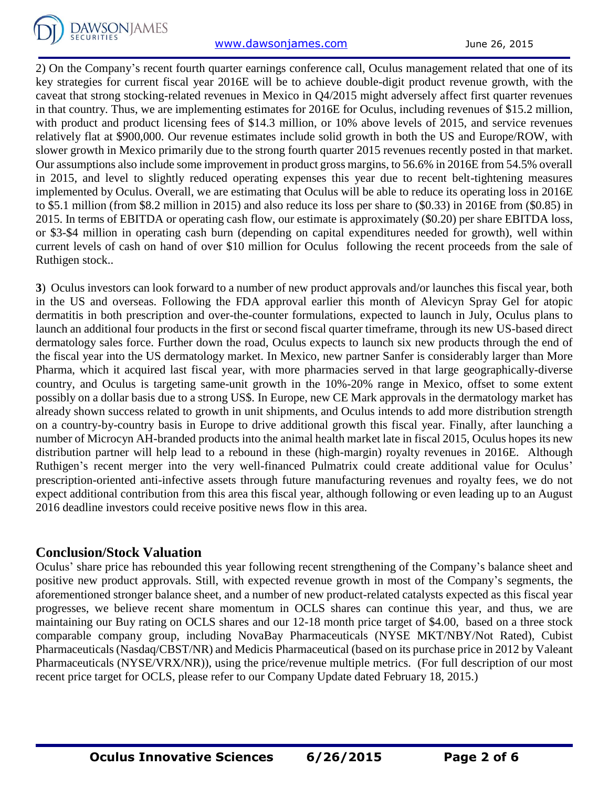

2) On the Company's recent fourth quarter earnings conference call, Oculus management related that one of its key strategies for current fiscal year 2016E will be to achieve double-digit product revenue growth, with the caveat that strong stocking-related revenues in Mexico in Q4/2015 might adversely affect first quarter revenues in that country. Thus, we are implementing estimates for 2016E for Oculus, including revenues of \$15.2 million, with product and product licensing fees of \$14.3 million, or 10% above levels of 2015, and service revenues relatively flat at \$900,000. Our revenue estimates include solid growth in both the US and Europe/ROW, with slower growth in Mexico primarily due to the strong fourth quarter 2015 revenues recently posted in that market. Our assumptions also include some improvement in product gross margins, to 56.6% in 2016E from 54.5% overall in 2015, and level to slightly reduced operating expenses this year due to recent belt-tightening measures implemented by Oculus. Overall, we are estimating that Oculus will be able to reduce its operating loss in 2016E to \$5.1 million (from \$8.2 million in 2015) and also reduce its loss per share to (\$0.33) in 2016E from (\$0.85) in 2015. In terms of EBITDA or operating cash flow, our estimate is approximately (\$0.20) per share EBITDA loss, or \$3-\$4 million in operating cash burn (depending on capital expenditures needed for growth), well within current levels of cash on hand of over \$10 million for Oculus following the recent proceeds from the sale of Ruthigen stock..

**3**) Oculus investors can look forward to a number of new product approvals and/or launches this fiscal year, both in the US and overseas. Following the FDA approval earlier this month of Alevicyn Spray Gel for atopic dermatitis in both prescription and over-the-counter formulations, expected to launch in July, Oculus plans to launch an additional four products in the first or second fiscal quarter timeframe, through its new US-based direct dermatology sales force. Further down the road, Oculus expects to launch six new products through the end of the fiscal year into the US dermatology market. In Mexico, new partner Sanfer is considerably larger than More Pharma, which it acquired last fiscal year, with more pharmacies served in that large geographically-diverse country, and Oculus is targeting same-unit growth in the 10%-20% range in Mexico, offset to some extent possibly on a dollar basis due to a strong US\$. In Europe, new CE Mark approvals in the dermatology market has already shown success related to growth in unit shipments, and Oculus intends to add more distribution strength on a country-by-country basis in Europe to drive additional growth this fiscal year. Finally, after launching a number of Microcyn AH-branded products into the animal health market late in fiscal 2015, Oculus hopes its new distribution partner will help lead to a rebound in these (high-margin) royalty revenues in 2016E. Although Ruthigen's recent merger into the very well-financed Pulmatrix could create additional value for Oculus' prescription-oriented anti-infective assets through future manufacturing revenues and royalty fees, we do not expect additional contribution from this area this fiscal year, although following or even leading up to an August 2016 deadline investors could receive positive news flow in this area.

# **Conclusion/Stock Valuation**

Oculus' share price has rebounded this year following recent strengthening of the Company's balance sheet and positive new product approvals. Still, with expected revenue growth in most of the Company's segments, the aforementioned stronger balance sheet, and a number of new product-related catalysts expected as this fiscal year progresses, we believe recent share momentum in OCLS shares can continue this year, and thus, we are maintaining our Buy rating on OCLS shares and our 12-18 month price target of \$4.00, based on a three stock comparable company group, including NovaBay Pharmaceuticals (NYSE MKT/NBY/Not Rated), Cubist Pharmaceuticals (Nasdaq/CBST/NR) and Medicis Pharmaceutical (based on its purchase price in 2012 by Valeant Pharmaceuticals (NYSE/VRX/NR)), using the price/revenue multiple metrics. (For full description of our most recent price target for OCLS, please refer to our Company Update dated February 18, 2015.)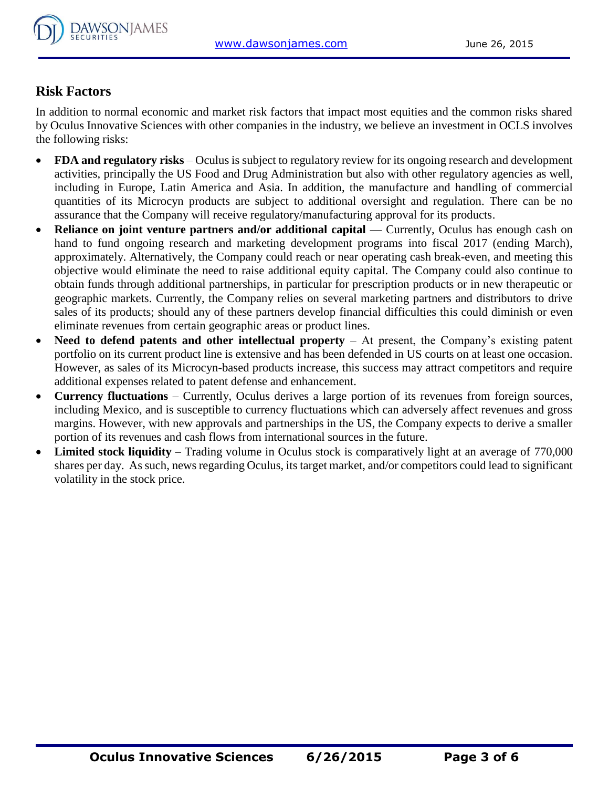

# **Risk Factors**

In addition to normal economic and market risk factors that impact most equities and the common risks shared by Oculus Innovative Sciences with other companies in the industry, we believe an investment in OCLS involves the following risks:

- **FDA and regulatory risks** Oculus is subject to regulatory review for its ongoing research and development activities, principally the US Food and Drug Administration but also with other regulatory agencies as well, including in Europe, Latin America and Asia. In addition, the manufacture and handling of commercial quantities of its Microcyn products are subject to additional oversight and regulation. There can be no assurance that the Company will receive regulatory/manufacturing approval for its products.
- **Reliance on joint venture partners and/or additional capital** Currently, Oculus has enough cash on hand to fund ongoing research and marketing development programs into fiscal 2017 (ending March), approximately. Alternatively, the Company could reach or near operating cash break-even, and meeting this objective would eliminate the need to raise additional equity capital. The Company could also continue to obtain funds through additional partnerships, in particular for prescription products or in new therapeutic or geographic markets. Currently, the Company relies on several marketing partners and distributors to drive sales of its products; should any of these partners develop financial difficulties this could diminish or even eliminate revenues from certain geographic areas or product lines.
- Need to defend patents and other intellectual property At present, the Company's existing patent portfolio on its current product line is extensive and has been defended in US courts on at least one occasion. However, as sales of its Microcyn-based products increase, this success may attract competitors and require additional expenses related to patent defense and enhancement.
- **Currency fluctuations** Currently, Oculus derives a large portion of its revenues from foreign sources, including Mexico, and is susceptible to currency fluctuations which can adversely affect revenues and gross margins. However, with new approvals and partnerships in the US, the Company expects to derive a smaller portion of its revenues and cash flows from international sources in the future.
- Limited stock liquidity Trading volume in Oculus stock is comparatively light at an average of 770,000 shares per day. As such, news regarding Oculus, its target market, and/or competitors could lead to significant volatility in the stock price.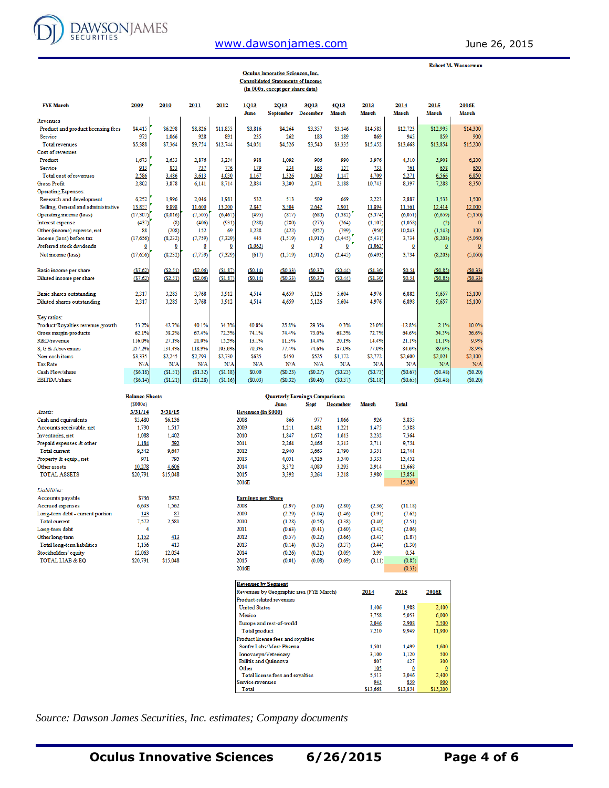

### [www.dawsonjames.com](http://www.dawsonjames.com/) June 26, 2015

Robert M. Wasserman

|                                     |           |          |                         |          |              | <b>Oculus Innovative Sciences, Inc.</b>  |                         |                         |                      |                      |                      |                |
|-------------------------------------|-----------|----------|-------------------------|----------|--------------|------------------------------------------|-------------------------|-------------------------|----------------------|----------------------|----------------------|----------------|
|                                     |           |          |                         |          |              | <b>Consolidated Statements of Income</b> |                         |                         |                      |                      |                      |                |
|                                     |           |          |                         |          |              | (In 000s, except per share data)         |                         |                         |                      |                      |                      |                |
| <b>FYE March</b>                    | 2009      | 2010     | 2011                    | 2012     | 1013<br>June | 2013<br><b>September</b>                 | 3013<br><b>December</b> | 4013<br><b>March</b>    | 2013<br><b>March</b> | 2014<br><b>March</b> | 2015<br><b>March</b> | 2016E<br>March |
| Revenues                            |           |          |                         |          |              |                                          |                         |                         |                      |                      |                      |                |
| Product and product licensing fees  | \$4,415   | \$6,298  | \$8,826                 | \$11,853 | \$3,816      | \$4,264                                  | \$3,357                 | \$3,146                 | \$14,583             | \$12,723             | \$12,995             | \$14,300       |
| Service                             | 973       | 1,066    | 928                     | 891      | 235          | 262                                      | 183                     | 189                     | 869                  | 945                  | 859                  | 900            |
| <b>Total revenues</b>               | \$5,388   | \$7,364  | \$9,754                 | \$12,744 | \$4,051      | \$4,526                                  | \$3,540                 | \$3,335                 | \$15,452             | \$13,668             | \$13,854             | \$15,200       |
| <b>Cost of revenues</b>             |           |          |                         |          |              |                                          |                         |                         |                      |                      |                      |                |
| Product                             | 1.673     | 2.633    | 2,876                   | 3,254    | 988          | 1.092                                    | 906                     | 990                     | 3,976                | 4,510                | 5.908                | 6,200          |
| Service                             | 913       | 853      | 737                     | 776      | 179          | 234                                      | 163                     | 157                     | 733                  | 761                  | 658                  | 650            |
| Total cost of revenues              | 2,586     | 3,486    | 3.613                   | 4,030    | 1.167        | 1,326                                    | 1,069                   | 1.147                   | 4,709                | 5,271                | 6.566                | 6,850          |
| Gross Profit                        | 2,802     | 3,878    | 6,141                   | 8,714    | 2,884        | 3,200                                    | 2,471                   | 2,188                   | 10,743               | 8,397                | 7,288                | 8,350          |
| <b>Operating Expenses:</b>          |           |          |                         |          |              |                                          |                         |                         |                      |                      |                      |                |
| Research and development            | 6.252     | 1.996    | 2.046                   | 1,981    | 532          | 513                                      | 509                     | 669                     | 2,223                | 2,887                | 1.533                | 1.500          |
| Selling, General and administrative | 13,857    | 9,898    | 11,600                  | 13,200   | 2,847        | 3,504                                    | 2,642                   | 2,901                   | 11,894               | 11,561               | 12,414               | 12,000         |
| Operating income (loss)             | (17, 307) | (8,016)  | (7, 505)                | (6, 467) | (495)        | (817)                                    | (680)                   | (1, 382)                | (3,374)              | (6,051)              | (6,659)              | (5, 150)       |
| Interest expense                    | (437)     | (8)      | (406)                   | (931)    | (288)        | (280)                                    | (275)                   | (264)                   | (1,107)              | (1,058)              | (2)                  | $\mathbf{0}$   |
| Other (income) expense, net         | 88        | (208)    | 152                     | 69       | 1,228        | (422)                                    | (957)                   | (799)                   | (950)                | 10,843               | (1.542)              | 100            |
| Income (loss) before tax            | (17,656)  | (8, 232) | (7, 759)                | (7, 329) | 445          | (1, 519)                                 | (1, 912)                | (2, 445)                | (5, 431)             | 3,734                | (8,203)              | (5,050)        |
| Preferred stock dividends           | Ō         | Ō        | $\overline{\mathbf{0}}$ | ⊻        | (1,062)      | $\overline{\mathbf{0}}$                  | Ō                       | $\overline{\mathbf{0}}$ | (1,062)              | $\overline{0}$       | $\Omega$             | $\Omega$       |
| Net income (loss)                   | (17,656)  | (8,232)  | (7, 759)                | (7, 329) | (617)        | (1, 519)                                 | (1, 912)                | (2, 445)                | (6, 493)             | 3,734                | (8,203)              | (5,050)        |
|                                     |           |          |                         |          |              |                                          |                         |                         |                      |                      |                      |                |
| Basic income per share              | (S7.62)   | (S2.51)  | (S2.06)                 | (S1.87)  | (S0.14)      | (S0.33)                                  | (S0.37)                 | (S0.44)                 | (\$1.30)             | \$0.54               | (50.85)              | (S0.33)        |
| Diluted income per share            | (S7.62)   | (S2.51)  | (S2.06)                 | (S1.87)  | (S0.14)      | (S0.33)                                  | (S0.37)                 | (S0.44)                 | (S1.30)              | \$0.54               | (S0.85)              | (S0.33)        |
|                                     |           |          |                         |          |              |                                          |                         |                         |                      |                      |                      |                |
| <b>Basic shares outstanding</b>     | 2,317     | 3.285    | 3,768                   | 3.912    | 4,514        | 4.659                                    | 5,126                   | 5.604                   | 4,976                | 6,882                | 9.657                | 15,100         |
| Diluted shares outstanding          | 2,317     | 3.285    | 3,768                   | 3.912    | 4,514        | 4,659                                    | 5,126                   | 5,604                   | 4,976                | 6,898                | 9,657                | 15,100         |
|                                     |           |          |                         |          |              |                                          |                         |                         |                      |                      |                      |                |
| Key ratios:                         |           |          |                         |          |              |                                          |                         |                         |                      |                      |                      |                |
| Product/Royalties revenue growth    | 53.2%     | 42.7%    | 40.1%                   | 34.3%    | 40.8%        | 25.8%                                    | 29.3%                   | $-0.3%$                 | 23.0%                | $-12.8%$             | 2.1%                 | 10.0%          |
| Gross margin-products               | 62.1%     | 58.2%    | 67.4%                   | 72.5%    | 74.1%        | 74.4%                                    | 73.0%                   | 68.5%                   | 72.7%                | 64.6%                | 54.5%                | 56.6%          |
| R&D/revenue                         | 116.0%    | 27.1%    | 21.0%                   | 15.5%    | 13.1%        | 11.3%                                    | 14.4%                   | 20.1%                   | 14.4%                | 21.1%                | 11.1%                | 9.9%           |
| S. G & A/revenues                   | 257.2%    | 134.4%   | 118.9%                  | 103.6%   | 70.3%        | 77.4%                                    | 74.6%                   | 87.0%                   | 77.0%                | 84.6%                | 89.6%                | 78.9%          |
| Non-cash items                      | \$3,335   | \$2,245  | \$2,793                 | \$2,730  | \$625        | \$450                                    | \$525                   | \$1.172                 | \$2,772              | \$2,600              | \$2,024              | \$2,100        |
| Tax Rate                            | N/A       | N/A      | N/A                     | N/A      | N/A          | N/A                                      | N/A                     | N/A                     | N/A                  | N/A                  | N/A                  | N/A            |
| Cash Flow/share                     | (56.18)   | (\$1.51) | (\$1.32)                | (\$1.18) | \$0.00       | (S0.23)                                  | (S0.27)                 | (50.23)                 | (S0.73)              | (S0.67)              | (50.48)              | (50.20)        |
| EBITDA/share                        | (S6.14)   | (S1.21)  | (S1.28)                 | (S1.16)  | (S0.03)      | (S0.32)                                  | (S0.46)                 | (S0.37)                 | (S1.18)              | (S0.65)              | (S0.48)              | (S0.20)        |

|                                  | <b>Balance Sheets</b> |          |                            | <b>Quarterly Earnings Comparisons</b> |             |                 |        |              |
|----------------------------------|-----------------------|----------|----------------------------|---------------------------------------|-------------|-----------------|--------|--------------|
|                                  | (S000s)               |          |                            | June                                  | <b>Sept</b> | <b>December</b> | March  | <b>Total</b> |
| Assets:                          | 3/31/14               | 3/31/15  | <b>Revenues (in \$000)</b> |                                       |             |                 |        |              |
| Cash and equivalents             | \$5,480               | \$6.136  | 2008                       | 866                                   | 977         | 1.066           | 926    | 3,835        |
| Accounts receivable, net         | 1,790                 | 1.517    | 2009                       | 1.211                                 | 1.481       | 1,221           | 1,475  | 5,388        |
| Inventories, net                 | 1.088                 | 1.402    | 2010                       | 1.847                                 | 1.672       | 1.613           | 2,232  | 7,364        |
| Prepaid expenses & other         | 1,184                 | 592      | 2011                       | 2.264                                 | 2.466       | 2,313           | 2,711  | 9,754        |
| <b>Total current</b>             | 9.542                 | 9.647    | 2012                       | 2.940                                 | 3,663       | 2,790           | 3,351  | 12,744       |
| Property & equip., net           | 971                   | 795      | 2013                       | 4,051                                 | 4.526       | 3,540           | 3,335  | 15,452       |
| Other assets                     | 10,278                | 4,606    | 2014                       | 3.372                                 | 4,089       | 3.293           | 2,914  | 13,668       |
| <b>TOTAL ASSETS</b>              | \$20,791              | \$15,048 | 2015                       | 3.392                                 | 3.264       | 3.218           | 3,980  | 13,854       |
|                                  |                       |          | 2016E                      |                                       |             |                 |        | 15,200       |
| Liabilities:                     |                       |          |                            |                                       |             |                 |        |              |
| Accounts payable                 | \$736                 | \$932    | <b>Earnings per Share</b>  |                                       |             |                 |        |              |
| Accrued expenses                 | 6.693                 | 1,562    | 2008                       | (2.97)                                | (3.09)      | (2.80)          | (2.36) | (11.18)      |
| Long-term debt - current portion | 143                   | 87       | 2009                       | (2.29)                                | (3.04)      | (1.46)          | (0.91) | (7.62)       |
| <b>Total current</b>             | 7,572                 | 2,581    | 2010                       | (1.28)                                | (0.58)      | (0.38)          | (0.40) | (2.51)       |
| Long-term debt                   | 4                     |          | 2011                       | (0.63)                                | (0.41)      | (0.60)          | (0.42) | (2.06)       |
| Other long-term                  | 1,152                 | 413      | 2012                       | (0.57)                                | (0.22)      | (0.66)          | (0.43) | (1.87)       |
| Total long-term liabilities      | 1,156                 | 413      | 2013                       | (0.14)                                | (0.33)      | (0.37)          | (0.44) | (1.30)       |
| Stockholders' equity             | 12,063                | 12,054   | 2014                       | (0.26)                                | (0.21)      | (0.09)          | 0.99   | 0.54         |
| <b>TOTAL LIAB &amp; EO</b>       | \$20,791              | \$15,048 | 2015                       | (0.01)                                | (0.08)      | (0.69)          | (0.11) | (0.85)       |
|                                  |                       |          | 2016E                      |                                       |             |                 |        | (0.33)       |

| <b>Revenues by Segment</b>              |          |          |                |
|-----------------------------------------|----------|----------|----------------|
| Revenues by Geographic area (FYE March) | 2014     | 2015     | 2016E          |
| Product-related revenues                |          |          |                |
| <b>United States</b>                    | 1.406    | 1.988    | 2,400          |
| Mexico                                  | 3,758    | 5.053    | 6,000          |
| Europe and rest-of-world                | 2,046    | 2,908    | 3,500          |
| <b>Total product</b>                    | 7.210    | 9,949    | 11.900         |
| Product license fees and royalties      |          |          |                |
| Sanfer Labs/More Pharma                 | 1.501    | 1.499    | 1.600          |
| Innovacyn/Veterinary                    | 3.100    | 1.120    | 500            |
| <b>Exilitis and Ouinnova</b>            | 807      | 427      | 300            |
| Other                                   | 105      |          | $\overline{0}$ |
| Total license fees and royalties        | 5.513    | 3.046    | 2,400          |
| Service revenues                        | 945      | 859      | 900            |
| Total                                   | \$13,668 | \$13,854 | \$15,200       |

*Source: Dawson James Securities, Inc. estimates; Company documents*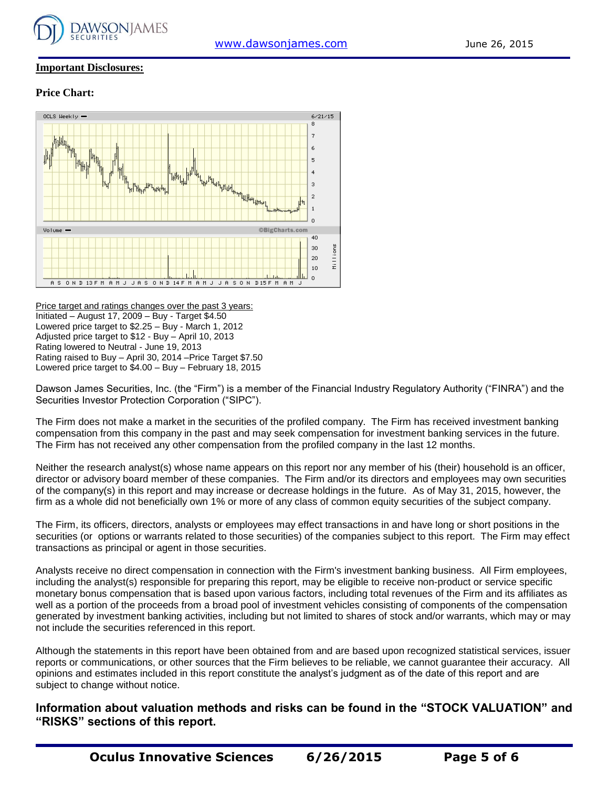

#### **Important Disclosures:**

#### **Price Chart:**



Price target and ratings changes over the past 3 years: Initiated – August 17, 2009 – Buy - Target \$4.50 Lowered price target to \$2.25 – Buy - March 1, 2012 Adjusted price target to \$12 - Buy – April 10, 2013 Rating lowered to Neutral - June 19, 2013 Rating raised to Buy – April 30, 2014 –Price Target \$7.50 Lowered price target to \$4.00 – Buy – February 18, 2015

Dawson James Securities, Inc. (the "Firm") is a member of the Financial Industry Regulatory Authority ("FINRA") and the Securities Investor Protection Corporation ("SIPC").

The Firm does not make a market in the securities of the profiled company. The Firm has received investment banking compensation from this company in the past and may seek compensation for investment banking services in the future. The Firm has not received any other compensation from the profiled company in the last 12 months.

Neither the research analyst(s) whose name appears on this report nor any member of his (their) household is an officer, director or advisory board member of these companies. The Firm and/or its directors and employees may own securities of the company(s) in this report and may increase or decrease holdings in the future. As of May 31, 2015, however, the firm as a whole did not beneficially own 1% or more of any class of common equity securities of the subject company.

The Firm, its officers, directors, analysts or employees may effect transactions in and have long or short positions in the securities (or options or warrants related to those securities) of the companies subject to this report. The Firm may effect transactions as principal or agent in those securities.

Analysts receive no direct compensation in connection with the Firm's investment banking business. All Firm employees, including the analyst(s) responsible for preparing this report, may be eligible to receive non-product or service specific monetary bonus compensation that is based upon various factors, including total revenues of the Firm and its affiliates as well as a portion of the proceeds from a broad pool of investment vehicles consisting of components of the compensation generated by investment banking activities, including but not limited to shares of stock and/or warrants, which may or may not include the securities referenced in this report.

Although the statements in this report have been obtained from and are based upon recognized statistical services, issuer reports or communications, or other sources that the Firm believes to be reliable, we cannot guarantee their accuracy. All opinions and estimates included in this report constitute the analyst's judgment as of the date of this report and are subject to change without notice.

**Information about valuation methods and risks can be found in the "STOCK VALUATION" and "RISKS" sections of this report.**